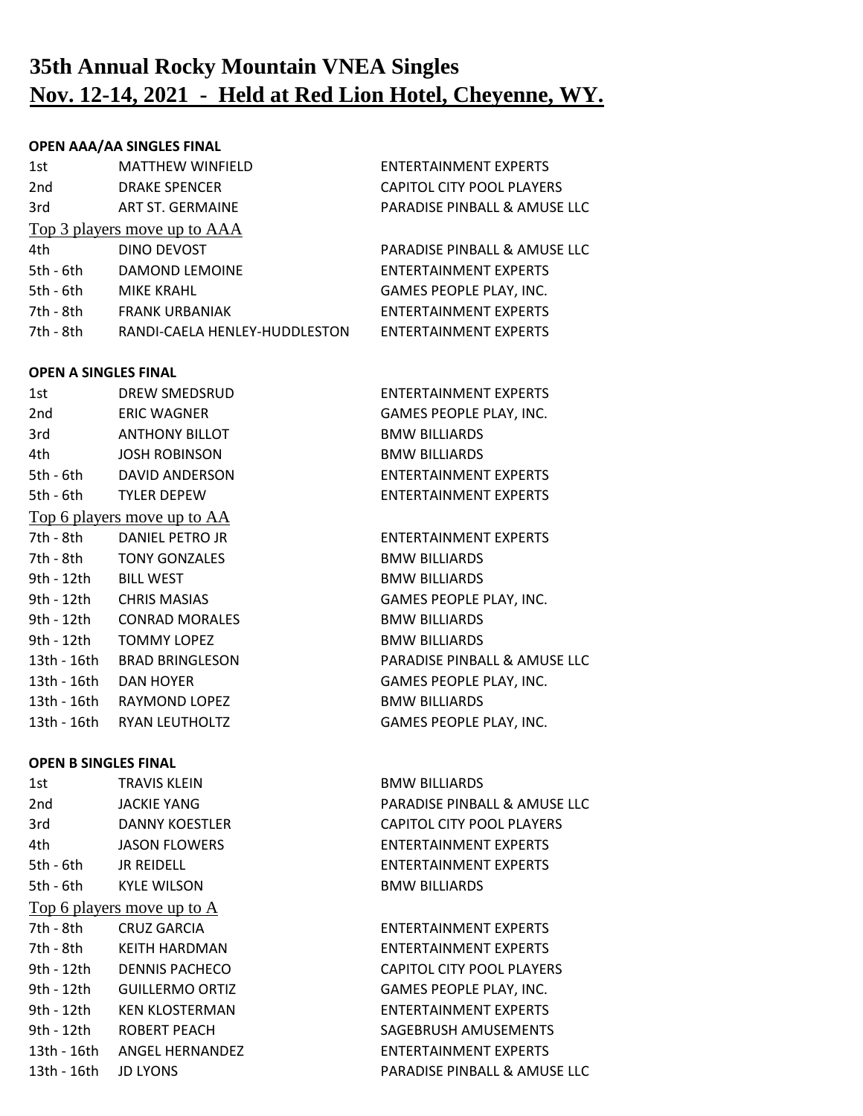# **35th Annual Rocky Mountain VNEA Singles Nov. 12-14, 2021 - Held at Red Lion Hotel, Cheyenne, WY.**

### **OPEN AAA/AA SINGLES FINAL**

| 1st         | <b>MATTHEW WINFIELD</b>       | <b>ENTERTAINMENT EXPERTS</b> |
|-------------|-------------------------------|------------------------------|
| 2nd         | <b>DRAKE SPENCER</b>          | CAPITOL CITY POOL PLAYERS    |
| 3rd         | ART ST. GERMAINE              | PARADISE PINBALL & AMUSE LLC |
|             | Top 3 players move up to AAA  |                              |
| 4th         | <b>DINO DEVOST</b>            | PARADISE PINBALL & AMUSE LLC |
| 5th - 6th   | DAMOND LEMOINE                | <b>ENTERTAINMENT EXPERTS</b> |
| $5th - 6th$ | <b>MIKE KRAHL</b>             | GAMES PEOPLE PLAY, INC.      |
| 7th - 8th   | <b>FRANK URBANIAK</b>         | <b>ENTERTAINMENT EXPERTS</b> |
| 7th - 8th   | RANDI-CAELA HENLEY-HUDDLESTON | <b>ENTERTAINMENT EXPERTS</b> |
|             |                               |                              |

### **OPEN A SINGLES FINAL**

| 1st             | DREW SMEDSRUD               | <b>ENTERTAINMENT EXPERTS</b> |
|-----------------|-----------------------------|------------------------------|
| 2 <sub>nd</sub> | <b>ERIC WAGNER</b>          | GAMES PEOPLE PLAY, INC.      |
| 3rd             | <b>ANTHONY BILLOT</b>       | <b>BMW BILLIARDS</b>         |
| 4th             | <b>JOSH ROBINSON</b>        | <b>BMW BILLIARDS</b>         |
| 5th - 6th       | DAVID ANDERSON              | ENTERTAINMENT EXPERTS        |
| 5th - 6th       | <b>TYLER DEPEW</b>          | ENTERTAINMENT EXPERTS        |
|                 | Top 6 players move up to AA |                              |
| 7th - 8th       | DANIEL PETRO JR             | ENTERTAINMENT EXPERTS        |
| 7th - 8th       | <b>TONY GONZALES</b>        | <b>BMW BILLIARDS</b>         |
| 9th - 12th      | <b>BILL WEST</b>            | <b>BMW BILLIARDS</b>         |
| 9th - 12th      | <b>CHRIS MASIAS</b>         | GAMES PEOPLE PLAY, INC.      |
| 9th - 12th      | <b>CONRAD MORALES</b>       | <b>BMW BILLIARDS</b>         |
| 9th - 12th      | <b>TOMMY LOPEZ</b>          | <b>BMW BILLIARDS</b>         |
| 13th - 16th     | <b>BRAD BRINGLESON</b>      | PARADISE PINBALL & AMUSE LLC |
| 13th - 16th     | <b>DAN HOYER</b>            | GAMES PEOPLE PLAY, INC.      |
| 13th - 16th     | RAYMOND LOPEZ               | <b>BMW BILLIARDS</b>         |
| 13th - 16th     | <b>RYAN LEUTHOLTZ</b>       | GAMES PEOPLE PLAY, INC.      |
|                 |                             |                              |

### **OPEN B SINGLES FINAL**

| 1st         | <b>TRAVIS KLEIN</b>        | <b>BMW BILLIARDS</b>             |
|-------------|----------------------------|----------------------------------|
| 2nd         | <b>JACKIE YANG</b>         | PARADISE PINBALL & AMUSE LLC     |
| 3rd         | DANNY KOESTLER             | <b>CAPITOL CITY POOL PLAYERS</b> |
| 4th -       | <b>JASON FLOWERS</b>       | <b>ENTERTAINMENT EXPERTS</b>     |
| 5th - 6th   | <b>JR REIDELL</b>          | <b>ENTERTAINMENT EXPERTS</b>     |
|             | 5th - 6th KYLE WILSON      | <b>BMW BILLIARDS</b>             |
|             | Top 6 players move up to A |                                  |
| 7th - 8th   | CRUZ GARCIA                | ENTERTAINMENT EXPERTS            |
|             | 7th - 8th KEITH HARDMAN    | <b>ENTERTAINMENT EXPERTS</b>     |
|             | 9th - 12th DENNIS PACHECO  | <b>CAPITOL CITY POOL PLAYERS</b> |
| 9th - 12th  | <b>GUILLERMO ORTIZ</b>     | GAMES PEOPLE PLAY, INC.          |
| 9th - 12th  | <b>KEN KLOSTERMAN</b>      | <b>ENTERTAINMENT EXPERTS</b>     |
| 9th - 12th  | ROBERT PEACH               | SAGEBRUSH AMUSEMENTS             |
| 13th - 16th | ANGEL HERNANDEZ            | ENTERTAINMENT EXPERTS            |
| 13th - 16th | <b>JD LYONS</b>            | PARADISE PINBALL & AMUSE LLC     |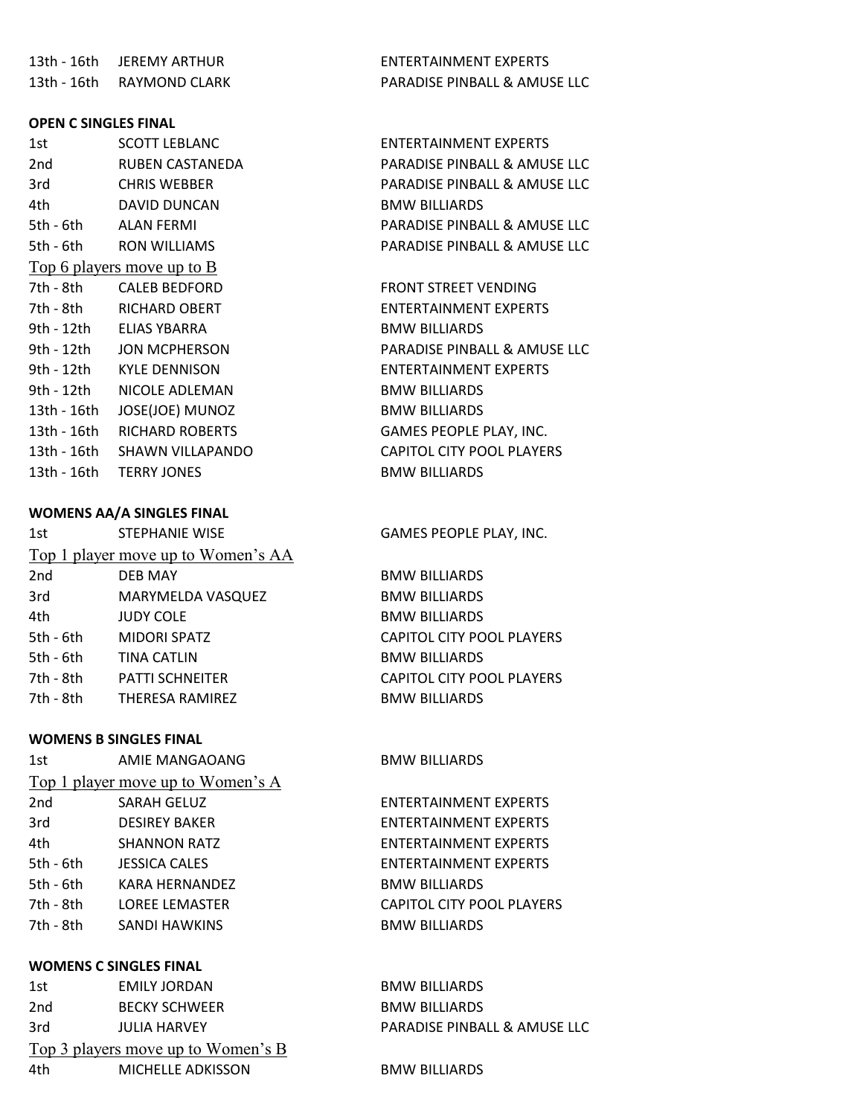13th - 16th JEREMY ARTHUR ENTERTAINMENT EXPERTS 13th - 16th RAYMOND CLARK PARADISE PINBALL & AMUSE LLC

### **OPEN C SINGLES FINAL**

| 1st         | <b>SCOTT LEBLANC</b>              |
|-------------|-----------------------------------|
| 2nd         | RUBEN CASTANEDA                   |
| 3rd         | <b>CHRIS WEBBER</b>               |
| 4th         | DAVID DUNCAN                      |
| 5th - 6th   | ALAN FERMI                        |
| 5th - 6th   | RON WILLIAMS                      |
|             | <u>Top 6 players move up to B</u> |
| 7th - 8th   | CALEB BEDFORD                     |
| 7th - 8th   | <b>RICHARD OBERT</b>              |
|             | 9th - 12th  ELIAS YBARRA          |
| 9th - 12th  | <b>JON MCPHERSON</b>              |
|             |                                   |
| 9th - 12th  | NICOLE ADLEMAN                    |
| 13th - 16th | JOSE(JOE) MUNOZ                   |
|             | 13th - 16th RICHARD ROBERTS       |
|             | 13th - 16th  SHAWN VILLAPANDO     |
|             | 13th - 16th TERRY JONES           |

## **WOMENS AA/A SINGLES FINAL**

| 1st             | <b>STEPHANIE WISE</b>              |
|-----------------|------------------------------------|
|                 | Top 1 player move up to Women's AA |
| 2 <sub>nd</sub> | <b>DEB MAY</b>                     |
| 3rd             | <b>MARYMELDA VASQUEZ</b>           |
| 4th             | <b>JUDY COLE</b>                   |
| 5th - 6th       | <b>MIDORI SPATZ</b>                |
| 5th - 6th       | TINA CATLIN                        |
| 7th - 8th       | <b>PATTI SCHNEITER</b>             |
| 7th - 8th       | THERESA RAMIREZ                    |
|                 |                                    |

### **WOMENS B SINGLES FINAL**

| 1st         | AMIE MANGAOANG                    | <b>BMW BILLIARDS</b>   |
|-------------|-----------------------------------|------------------------|
|             | Top 1 player move up to Women's A |                        |
| 2nd         | <b>SARAH GELUZ</b>                | <b>ENTERTAINMEN</b>    |
| 3rd         | <b>DESIREY BAKER</b>              | ENTERTAINMEN           |
| 4th         | <b>SHANNON RATZ</b>               | ENTERTAINMEN           |
| $5th - 6th$ | <b>JESSICA CALES</b>              | ENTERTAINMEN           |
| $5th - 6th$ | KARA HERNANDEZ                    | <b>BMW BILLIARDS</b>   |
| 7th - 8th   | <b>LOREE LEMASTER</b>             | <b>CAPITOL CITY PC</b> |
| 7th - 8th   | SANDI HAWKINS                     | <b>BMW BILLIARDS</b>   |
|             |                                   |                        |

### **WOMENS C SINGLES FINAL**

| 1st | EMILY JORDAN                       | <b>BMW BILLIARDS</b>         |
|-----|------------------------------------|------------------------------|
| 2nd | <b>BECKY SCHWEER</b>               | <b>BMW BILLIARDS</b>         |
| 3rd | <b>JULIA HARVEY</b>                | PARADISE PINBALL & AMUSE LLC |
|     | Top 3 players move up to Women's B |                              |
| 4th | MICHELLE ADKISSON                  | <b>BMW BILLIARDS</b>         |

ENTERTAINMENT EXPERTS PARADISE PINBALL & AMUSE LLC PARADISE PINBALL & AMUSE LLC BMW BILLIARDS PARADISE PINBALL & AMUSE LLC PARADISE PINBALL & AMUSE LLC

FRONT STREET VENDING ENTERTAINMENT EXPERTS BMW BILLIARDS PARADISE PINBALL & AMUSE LLC ENTERTAINMENT EXPERTS **BMW BILLIARDS** BMW BILLIARDS GAMES PEOPLE PLAY, INC. 13th - 16th CAPITOL CITY POOL PLAYERS **BMW BILLIARDS** 

### GAMES PEOPLE PLAY, INC.

**BMW BILLIARDS** BMW BILLIARDS BMW BILLIARDS CAPITOL CITY POOL PLAYERS BMW BILLIARDS CAPITOL CITY POOL PLAYERS BMW BILLIARDS

NT EXPERTS **NT EXPERTS** NT EXPERTS NT EXPERTS YOOL PLAYERS